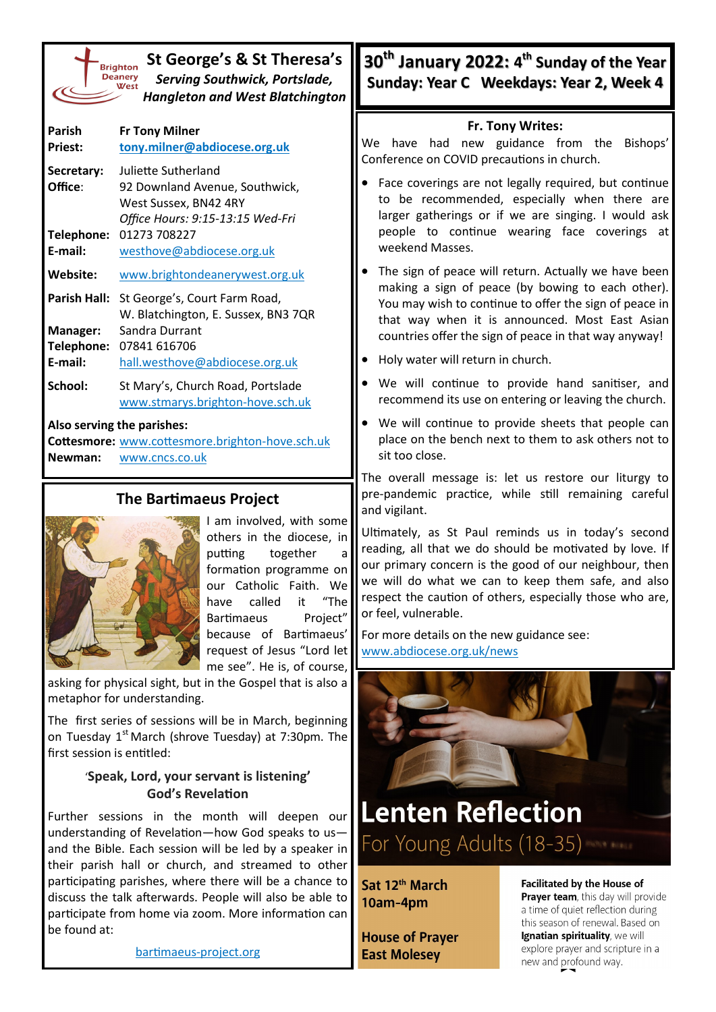| St George's & St Theresa's<br><b>Brighton</b><br><b>Deanery</b><br><b>Serving Southwick, Portslade,</b><br><b>West</b><br><b>Hangleton and West Blatchington</b> |                                                                                                                                                                                                                                 | 30 <sup>th</sup> January 2022: 4 <sup>th</sup> Sunday of the Year<br>Sunday: Year C Weekdays: Year 2, Week 4                                                                                                                                                                                                                                    |  |
|------------------------------------------------------------------------------------------------------------------------------------------------------------------|---------------------------------------------------------------------------------------------------------------------------------------------------------------------------------------------------------------------------------|-------------------------------------------------------------------------------------------------------------------------------------------------------------------------------------------------------------------------------------------------------------------------------------------------------------------------------------------------|--|
| Parish<br>Priest:<br>Secretary:<br>Office:                                                                                                                       | <b>Fr Tony Milner</b><br>tony.milner@abdiocese.org.uk<br>Juliette Sutherland<br>92 Downland Avenue, Southwick,<br>West Sussex, BN42 4RY<br>Office Hours: 9:15-13:15 Wed-Fri<br>Telephone: 01273 708227                          | Fr. Tony Writes:<br>We have had new guidance from the Bishops'<br>Conference on COVID precautions in church.<br>Face coverings are not legally required, but continue<br>to be recommended, especially when there are<br>larger gatherings or if we are singing. I would ask<br>people to continue wearing face coverings at<br>weekend Masses. |  |
| E-mail:<br>Website:<br>Manager:<br>E-mail:                                                                                                                       | westhove@abdiocese.org.uk<br>www.brightondeanerywest.org.uk<br>Parish Hall: St George's, Court Farm Road,<br>W. Blatchington, E. Sussex, BN3 7QR<br>Sandra Durrant<br>Telephone: 07841 616706<br>hall.westhove@abdiocese.org.uk | The sign of peace will return. Actually we have been<br>making a sign of peace (by bowing to each other).<br>You may wish to continue to offer the sign of peace in<br>that way when it is announced. Most East Asian<br>countries offer the sign of peace in that way anyway!<br>Holy water will return in church.                             |  |
| School:<br>Newman:                                                                                                                                               | St Mary's, Church Road, Portslade<br>www.stmarys.brighton-hove.sch.uk<br>Also serving the parishes:<br>Cottesmore: www.cottesmore.brighton-hove.sch.uk<br>www.cncs.co.uk                                                        | . We will continue to provide hand sanitiser, and<br>recommend its use on entering or leaving the church.<br>We will continue to provide sheets that people can<br>place on the bench next to them to ask others not to<br>sit too close.                                                                                                       |  |
| <b>The Bartimaeus Project</b>                                                                                                                                    |                                                                                                                                                                                                                                 | The overall message is: let us restore our liturgy to<br>pre-pandemic practice, while still remaining careful<br>and vigilant                                                                                                                                                                                                                   |  |



I am involved, with some others in the diocese, in putting together a formation programme on our Catholic Faith. We have called it "The Bartimaeus Project" because of Bartimaeus' request of Jesus "Lord let me see". He is, of course,

asking for physical sight, but in the Gospel that is also a metaphor for understanding.

The first series of sessions will be in March, beginning on Tuesday  $1<sup>st</sup>$  March (shrove Tuesday) at 7:30pm. The first session is entitled:

## '**Speak, Lord, your servant is listening' God's Revelation**

Further sessions in the month will deepen our understanding of Revelation—how God speaks to us and the Bible. Each session will be led by a speaker in their parish hall or church, and streamed to other participating parishes, where there will be a chance to discuss the talk afterwards. People will also be able to participate from home via zoom. More information can be found at:

[bartimaeus](https://bartimaeus-project.org/)-project.org

- Face coverings are not legally required, but continue to be recommended, especially when there are larger gatherings or if we are singing. I would ask people to continue wearing face coverings at
- The sign of peace will return. Actually we have been making a sign of peace (by bowing to each other). You may wish to continue to offer the sign of peace in that way when it is announced. Most East Asian
- We will continue to provide hand sanitiser, and
- We will continue to provide sheets that people can place on the bench next to them to ask others not to

The overall message is: let us restore our liturgy to pre-pandemic practice, while still remaining careful and vigilant.

Ultimately, as St Paul reminds us in today's second reading, all that we do should be motivated by love. If our primary concern is the good of our neighbour, then we will do what we can to keep them safe, and also respect the caution of others, especially those who are, or feel, vulnerable.

For more details on the new guidance see: [www.abdiocese.org.uk/news](https://www.abdiocese.org.uk/news/covid-19-updates-to-parishes-have-changed)



For Young Adults (18-35)

Sat 12<sup>th</sup> March 10am-4pm

**House of Prayer East Molesey** 

**Facilitated by the House of** Prayer team, this day will provide a time of quiet reflection during this season of renewal. Based on Ignatian spirituality, we will explore prayer and scripture in a new and profound way.